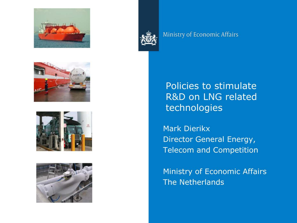



#### Ministry of Economic Affairs







Policies to stimulate R&D on LNG related technologies

**Mark Dierikx** Director General Energy, **Telecom and Competition** 

**Ministry of Economic Affairs The Netherlands**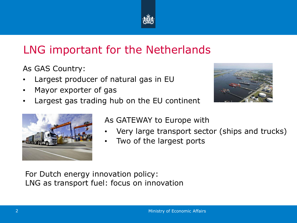

# LNG important for the Netherlands

As GAS Country:

- Largest producer of natural gas in EU
- Mayor exporter of gas
- Largest gas trading hub on the EU continent





As GATEWAY to Europe with

- Very large transport sector (ships and trucks)
- Two of the largest ports

For Dutch energy innovation policy: LNG as transport fuel: focus on innovation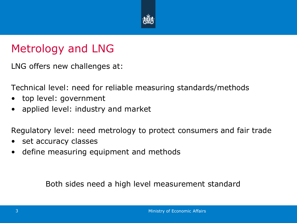

### Metrology and LNG

LNG offers new challenges at:

Technical level: need for reliable measuring standards/methods

- top level: government
- applied level: industry and market

Regulatory level: need metrology to protect consumers and fair trade

- set accuracy classes
- define measuring equipment and methods

Both sides need a high level measurement standard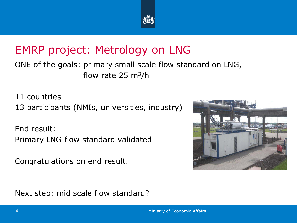

# EMRP project: Metrology on LNG

ONE of the goals: primary small scale flow standard on LNG, flow rate 25  $m^3/h$ 

11 countries

13 participants (NMIs, universities, industry)

End result: Primary LNG flow standard validated

Congratulations on end result.



Next step: mid scale flow standard?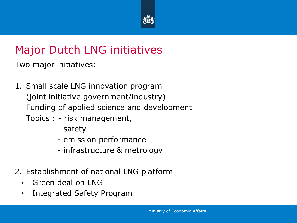

# Major Dutch LNG initiatives

Two major initiatives:

- 1. Small scale LNG innovation program (joint initiative government/industry) Funding of applied science and development Topics : - risk management,
	- safety
	- emission performance
	- infrastructure & metrology
- 2. Establishment of national LNG platform
	- Green deal on LNG
	- Integrated Safety Program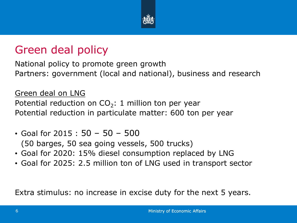

### Green deal policy

National policy to promote green growth Partners: government (local and national), business and research

#### Green deal on LNG

Potential reduction on  $CO_2$ : 1 million ton per year Potential reduction in particulate matter: 600 ton per year

- Goal for 2015 : 50 50 500 (50 barges, 50 sea going vessels, 500 trucks)
- Goal for 2020: 15% diesel consumption replaced by LNG
- Goal for 2025: 2.5 million ton of LNG used in transport sector

Extra stimulus: no increase in excise duty for the next 5 years.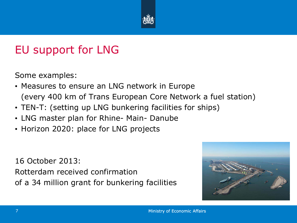

### EU support for LNG

Some examples:

- Measures to ensure an LNG network in Europe (every 400 km of Trans European Core Network a fuel station)
- TEN-T: (setting up LNG bunkering facilities for ships)
- LNG master plan for Rhine- Main- Danube
- Horizon 2020: place for LNG projects

16 October 2013: Rotterdam received confirmation of a 34 million grant for bunkering facilities

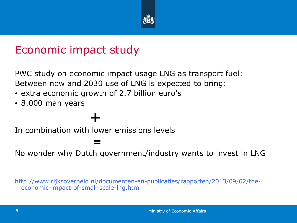

### Economic impact study

PWC study on economic impact usage LNG as transport fuel: Between now and 2030 use of LNG is expected to bring:

- extra economic growth of 2.7 billion euro's
- 8.000 man years

 *=*   $=$   $=$ 

# **+**

In combination with lower emissions levels

No wonder why Dutch government/industry wants to invest in LNG

http://www.rijksoverheid.nl/documenten-en-publicaties/rapporten/2013/09/02/theeconomic-impact-of-small-scale-lng.html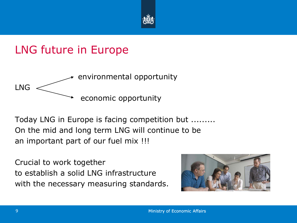

### LNG future in Europe



Today LNG in Europe is facing competition but ......... On the mid and long term LNG will continue to be an important part of our fuel mix !!!

Crucial to work together to establish a solid LNG infrastructure with the necessary measuring standards.